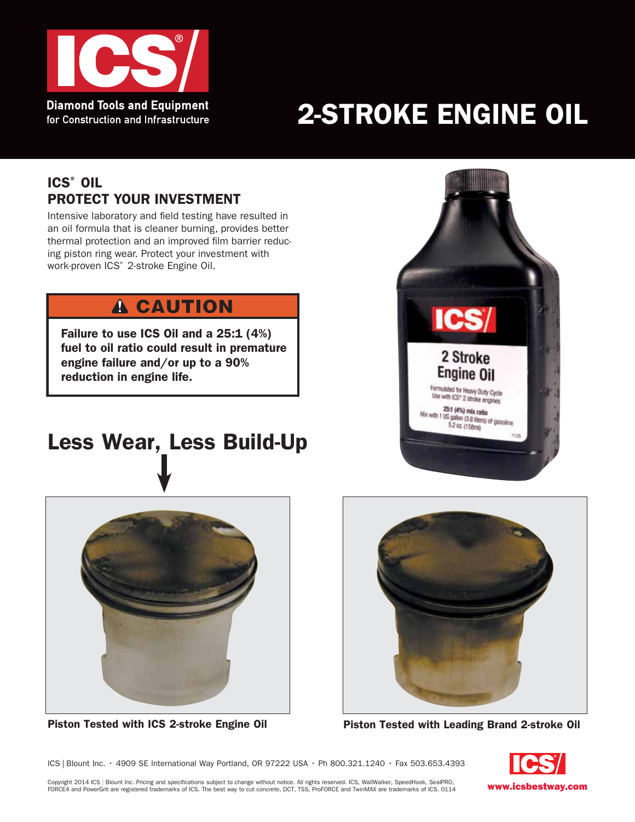

# 2-STROKE ENGINE OIL

### ICS® Oil Protect Your Investment

Intensive laboratory and field testing have resulted in an oil formula that is cleaner burning, provides better thermal protection and an improved film barrier reducing piston ring wear. Protect your investment with work-proven ICS<sup>®</sup> 2-stroke Engine Oil.

## **A CAUTION**

Failure to use ICS Oil and a 25:1 (4%) fuel to oil ratio could result in premature engine failure and/or up to a 90% reduction in engine life.

# Less Wear, Less Build-Up







Piston Tested with ICS 2-stroke Engine Oil Piston Tested with Leading Brand 2-stroke Oil

www.icsbestway.com

ICS | Blount Inc. • 4909 SE International Way Portland, OR 97222 USA • Ph 800.321.1240 • Fax 503.653.4393

Copyright 2014 ICS | Blount Inc. Pricing and specifications subject to change without notice. All rights reserved. ICS, WallWalker, SpeedHook, SealPRO,<br>FORCE4 and PowerGrit are registered trademarks of ICS. The best way to